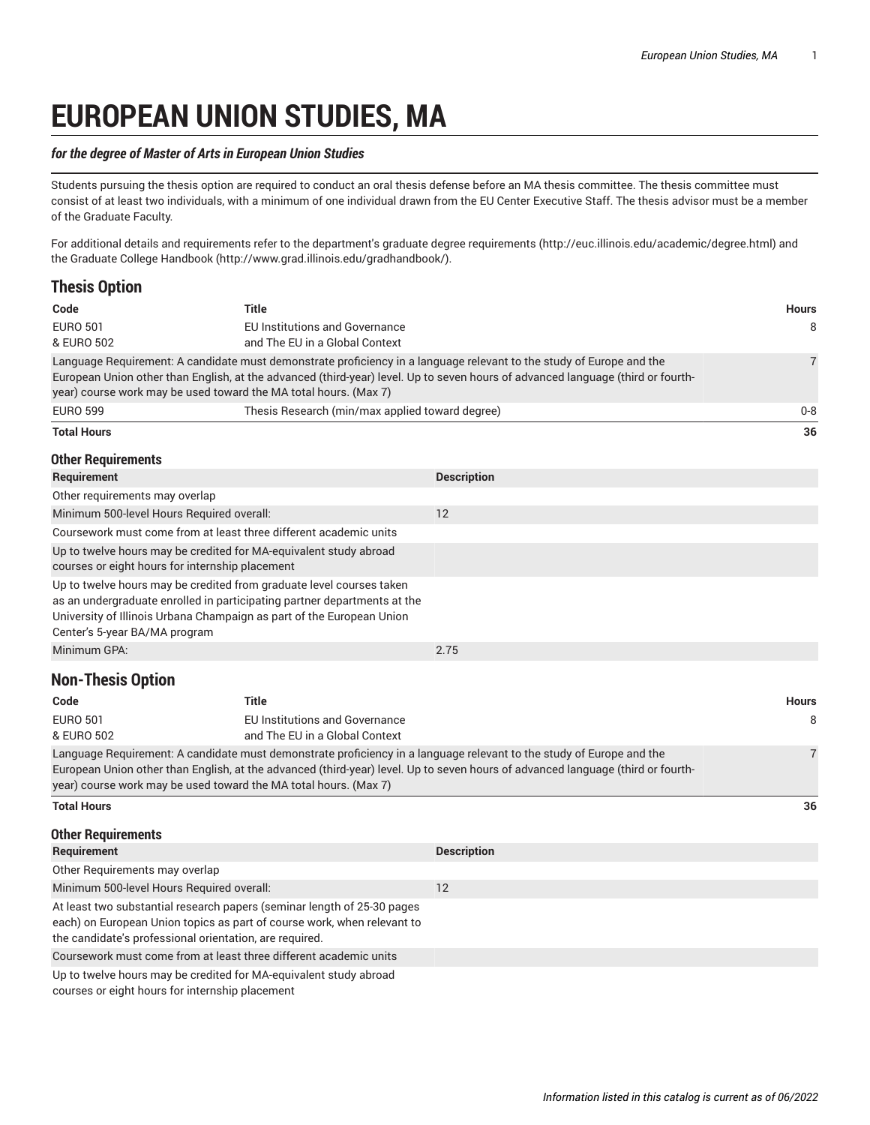## **EUROPEAN UNION STUDIES, MA**

## *for the degree of Master of Arts in European Union Studies*

Students pursuing the thesis option are required to conduct an oral thesis defense before an MA thesis committee. The thesis committee must consist of at least two individuals, with a minimum of one individual drawn from the EU Center Executive Staff. The thesis advisor must be a member of the Graduate Faculty.

For additional details and requirements refer to the department's graduate degree [requirements](http://euc.illinois.edu/academic/degree.html) [\(http://euc.illinois.edu/academic/degree.html\)](http://euc.illinois.edu/academic/degree.html) and the [Graduate College Handbook](http://www.grad.illinois.edu/gradhandbook/) (<http://www.grad.illinois.edu/gradhandbook/>).

| <b>Thesis Option</b>                      |                                                                                                                                                                                                                                                                                                                             |                |
|-------------------------------------------|-----------------------------------------------------------------------------------------------------------------------------------------------------------------------------------------------------------------------------------------------------------------------------------------------------------------------------|----------------|
| Code                                      | Title                                                                                                                                                                                                                                                                                                                       | <b>Hours</b>   |
| <b>EURO 501</b>                           | <b>EU Institutions and Governance</b>                                                                                                                                                                                                                                                                                       | 8              |
| & EURO 502                                | and The EU in a Global Context                                                                                                                                                                                                                                                                                              |                |
|                                           | Language Requirement: A candidate must demonstrate proficiency in a language relevant to the study of Europe and the<br>European Union other than English, at the advanced (third-year) level. Up to seven hours of advanced language (third or fourth-<br>year) course work may be used toward the MA total hours. (Max 7) | $\overline{7}$ |
| <b>EURO 599</b>                           | Thesis Research (min/max applied toward degree)                                                                                                                                                                                                                                                                             | $0 - 8$        |
| <b>Total Hours</b>                        |                                                                                                                                                                                                                                                                                                                             | 36             |
| <b>Other Requirements</b>                 |                                                                                                                                                                                                                                                                                                                             |                |
| Requirement                               | <b>Description</b>                                                                                                                                                                                                                                                                                                          |                |
| Other requirements may overlap            |                                                                                                                                                                                                                                                                                                                             |                |
| Minimum 500-level Hours Required overall: | 12                                                                                                                                                                                                                                                                                                                          |                |
|                                           | Coursework must come from at least three different academic units                                                                                                                                                                                                                                                           |                |
|                                           | Up to twelve hours may be credited for MA-equivalent study abroad<br>courses or eight hours for internship placement                                                                                                                                                                                                        |                |
| Center's 5-year BA/MA program             | Up to twelve hours may be credited from graduate level courses taken<br>as an undergraduate enrolled in participating partner departments at the<br>University of Illinois Urbana Champaign as part of the European Union                                                                                                   |                |
| Minimum GPA:                              | 2.75                                                                                                                                                                                                                                                                                                                        |                |
|                                           |                                                                                                                                                                                                                                                                                                                             |                |
| Non-Thesis Option                         |                                                                                                                                                                                                                                                                                                                             |                |
| Code                                      | <b>Title</b>                                                                                                                                                                                                                                                                                                                | <b>Hours</b>   |
| <b>EURO 501</b><br>& EURO 502             | <b>EU Institutions and Governance</b><br>and The EU in a Global Context                                                                                                                                                                                                                                                     | 8              |
|                                           | Language Requirement: A candidate must demonstrate proficiency in a language relevant to the study of Europe and the<br>European Union other than English, at the advanced (third-year) level. Up to seven hours of advanced language (third or fourth-<br>year) course work may be used toward the MA total hours. (Max 7) | $\overline{7}$ |
| <b>Total Hours</b>                        |                                                                                                                                                                                                                                                                                                                             | 36             |
| <b>Other Requirements</b>                 |                                                                                                                                                                                                                                                                                                                             |                |
| Requirement                               | <b>Description</b>                                                                                                                                                                                                                                                                                                          |                |
| Other Requirements may overlap            |                                                                                                                                                                                                                                                                                                                             |                |
| Minimum 500-level Hours Required overall: | 12                                                                                                                                                                                                                                                                                                                          |                |
|                                           | At least two substantial research papers (seminar length of 25-30 pages                                                                                                                                                                                                                                                     |                |
|                                           | each) on European Union topics as part of course work, when relevant to                                                                                                                                                                                                                                                     |                |
|                                           | the candidate's professional orientation, are required.                                                                                                                                                                                                                                                                     |                |
|                                           | Coursework must come from at least three different academic units                                                                                                                                                                                                                                                           |                |
|                                           | Up to twelve hours may be credited for MA-equivalent study abroad<br>courses or eight hours for internship placement                                                                                                                                                                                                        |                |